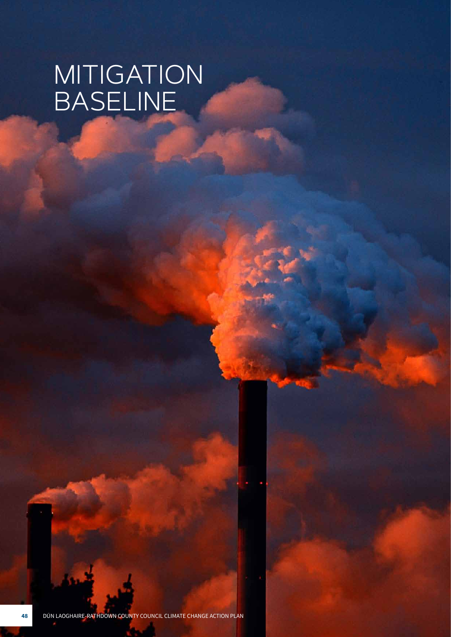# MITIGATION BASELINE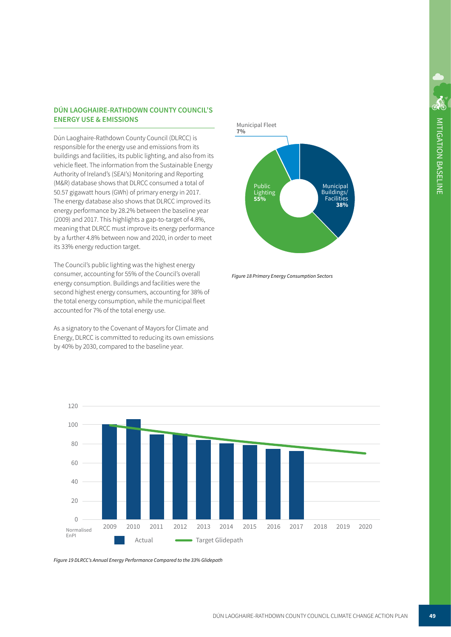### **DÚN LAOGHAIRE-RATHDOWN COUNTY COUNCIL'S ENERGY USE & EMISSIONS**

Dún Laoghaire-Rathdown County Council (DLRCC) is responsible for the energy use and emissions from its buildings and facilities, its public lighting, and also from its vehicle fleet. The information from the Sustainable Energy Authority of Ireland's (SEAI's) Monitoring and Reporting (M&R) database shows that DLRCC consumed a total of 50.57 gigawatt hours (GWh) of primary energy in 2017. The energy database also shows that DLRCC improved its energy performance by 28.2% between the baseline year (2009) and 2017. This highlights a gap-to-target of 4.8%, meaning that DLRCC must improve its energy performance by a further 4.8% between now and 2020, in order to meet its 33% energy reduction target.

The Council's public lighting was the highest energy consumer, accounting for 55% of the Council's overall energy consumption. Buildings and facilities were the second highest energy consumers, accounting for 38% of the total energy consumption, while the municipal fleet accounted for 7% of the total energy use.

As a signatory to the Covenant of Mayors for Climate and Energy, DLRCC is committed to reducing its own emissions by 40% by 2030, compared to the baseline year.



*Figure 18 Primary Energy Consumption Sectors*



*Figure 19 DLRCC's Annual Energy Performance Compared to the 33% Glidepath*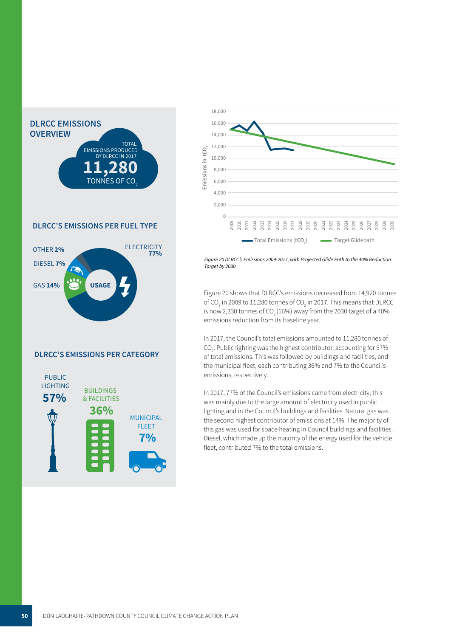

#### **DLRCC'S EMISSIONS PER FUEL TYPE**



#### **DLRCC'S EMISSIONS PER CATEGORY**





7, with Projected G *Figure 20 DLRCC's Emissions 2009-2017, with Projected Glide Path to the 40% Reduction Target by 2030*

 Figure 20 shows that DLRCC's emissions decreased from 14,920 tonnes of CO<sub>2</sub> in 2009 to 11,280 tonnes of CO<sub>2</sub> in 2017. This means that DLRCC is now 2,330 tonnes of  $CO<sub>2</sub>(16%)$  away from the 2030 target of a 40% emissions reduction from its baseline year.

in 2017, the Council's total emissions amounted to 11,280 tonnes of<br>CO<sub>2</sub>. Public lighting was the highest contributor, accounting for 57%<br>of total emissions. This was followed by buildings and facilities, and ,<br>36% and 7% to th the municipal fleet, each contributing 36% and 7% to the Council's<br>emissions, respectively In 2017, the Council's total emissions amounted to 11,280 tonnes of of total emissions. This was followed by buildings and facilities, and emissions, respectively.

In 2017, 77% of the Council's emissions came from electricity; this was mainly due to the large amount of electricity used in public lighting and in the Council's buildings and facilities. Natural gas was the second highest contributor of emissions at 14%. The majority of this gas was used for space heating in Council buildings and facilities. Diesel, which made up the majority of the energy used for the vehicle fleet, contributed 7% to the total emissions.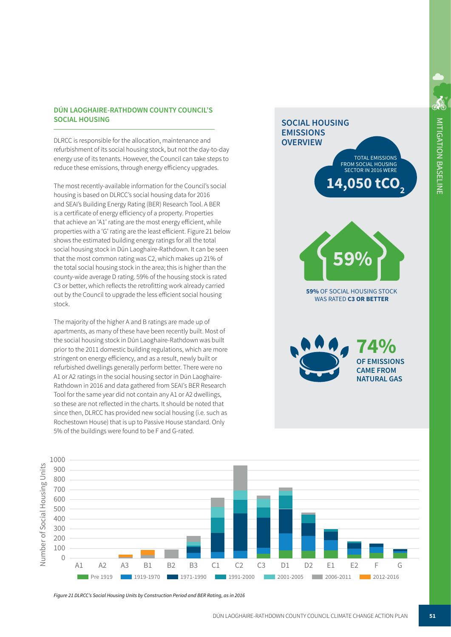## **SOCIAL HOUSING DÚN LAOGHAIRE-RATHDOWN COUNTY COUNCIL'S**

 energy use of its tenants. However, the Council can take step:<br>reduce these emissions, through energy efficiency upgrades. DLRCC is responsible for the allocation, maintenance and refurbishment of its social housing stock, but not the day-to-day  energy use of its tenants. However, the Council can take steps to

 The most recently-available information for the Council's social  that achieve an 'A1' rating are the most energy efficient, while down It can h social housing stock in Dún Laoghaire-Rathdown. It can be seen the total social housing stock in the area; this is higher than the C3 or better, which reflects the retrofitting work already carried housing is based on DLRCC's social housing data for 2016 and SEAI's Building Energy Rating (BER) Research Tool. A BER is a certificate of energy efficiency of a property. Properties properties with a 'G' rating are the least efficient. Figure 21 below shows the estimated building energy ratings for all the total that the most common rating was C2, which makes up 21% of county-wide average D rating. 59% of the housing stock is rated out by the Council to upgrade the less efficient social housing stock.

 A1 or A2 ratings in the social housing sector in Dún Laoghaire- Rathdown in 2016 and data gathered from SEAI's BER Research ame year did not contain an<br>ame year did not contain an Tool for the same year did not contain any A1 or A2 dwellings, so these are not renected in the charts. It should be noted that<br>since then, DLRCC has provided new social housing (i.e. such as اد ۱.۰.۱ ailing.<br>۱ Rochestown House) that is up to Passive House standard. Only eu.<br>. phor to the zorr domestic bunding regulations, which are in<br>stringent on energy efficiency, and as a result, newly built or The majority of the higher A and B ratings are made up of apartments, as many of these have been recently built. Most of the social housing stock in Dún Laoghaire-Rathdown was built prior to the 2011 domestic building regulations, which are more refurbished dwellings generally perform better. There were no so these are not reflected in the charts. It should be noted that 5% of the buildings were found to be F and G-rated.

## **SOCIAL HOUSING EMISSIONS OVERVIEW**



14,050 tCO

**TOTAL EMISSIONS** FROM SOCIAL HOUSING SECTOR IN 2016 WERE

59% OF SOCIAL HOUSING STOCK **WAS RATED C3 OR BETTER** 

74% **OF EMISSIONS CAMF FROM NATURAL GAS** 



*Figure 21 DLRCC's Social Housing Units by Construction Period and BER Rating, as in 2016*